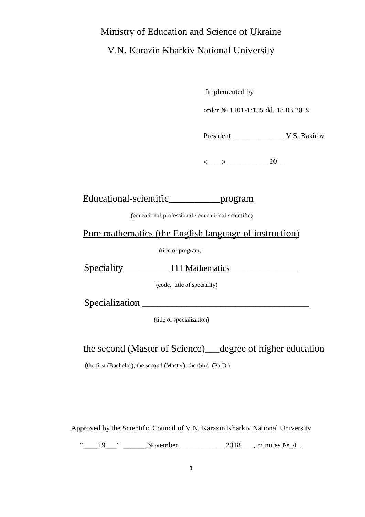# Ministry of Education and Science of Ukraine

V.N. Karazin Kharkiv National University

Implemented by

order № 1101-1/155 dd. 18.03.2019

President V.S. Bakirov

«\_\_\_\_» \_\_\_\_\_\_\_\_\_\_\_ 20\_\_\_

Educational-scientific\_\_\_\_\_\_\_\_\_\_\_\_program

(educational-professional / educational-scientific)

Pure mathematics (the English language of instruction)

(title of program)

| Speciality | 111 Mathematics |  |
|------------|-----------------|--|
|            |                 |  |

(code, title of speciality)

Specialization \_\_\_\_\_\_\_\_\_\_\_\_\_\_\_\_\_\_\_\_\_\_\_\_\_\_\_\_\_\_\_\_\_\_

(title of specialization)

the second (Master of Science)\_\_\_degree of higher education

(the first (Bachelor), the second (Master), the third (Ph.D.)

Approved by the Scientific Council of V.N. Karazin Kharkiv National University

"  $19$  " November  $2018$ , minutes  $N_2$  4.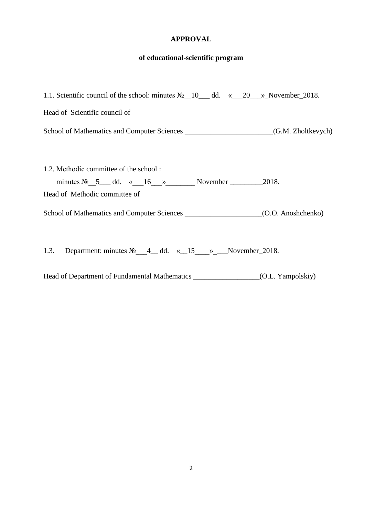## **APPROVAL**

#### **of educational-scientific program**

| 1.1. Scientific council of the school: minutes $N_2$ 10 dd. « 20 » November 2018.                                    |                    |
|----------------------------------------------------------------------------------------------------------------------|--------------------|
| Head of Scientific council of                                                                                        |                    |
|                                                                                                                      | (G.M. Zholtkevych) |
| 1.2. Methodic committee of the school:<br>minutes $N_2$ 5 dd. « 16 » November 2018.<br>Head of Methodic committee of |                    |
|                                                                                                                      | (O.O. Anoshchenko) |

1.3. Department: minutes  $N_2$  4\_ dd. «\_15\_\_\_»\_\_November\_2018.

Head of Department of Fundamental Mathematics \_\_\_\_\_\_\_\_\_\_\_\_\_\_\_\_\_\_\_(O.L. Yampolskiy)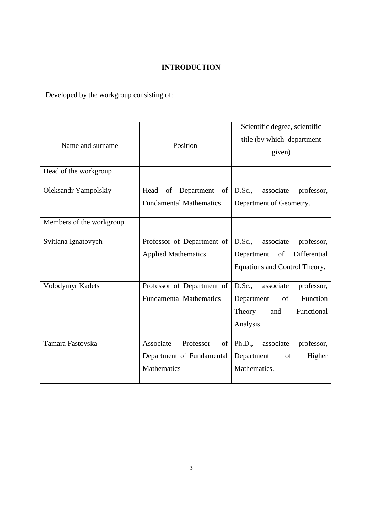## INTRODUCTION

Developed by the workgroup consisting of:

| Name and surname<br>Head of the workgroup | Position                                                                 | Scientific degree, scientific<br>title (by which department<br>given)                                         |  |
|-------------------------------------------|--------------------------------------------------------------------------|---------------------------------------------------------------------------------------------------------------|--|
| Oleksandr Yampolskiy                      | Head<br>of Department<br>of<br><b>Fundamental Mathematics</b>            | D.Sc.,<br>associate<br>professor,<br>Department of Geometry.                                                  |  |
| Members of the workgroup                  |                                                                          |                                                                                                               |  |
| Svitlana Ignatovych                       | Professor of Department of<br><b>Applied Mathematics</b>                 | D.Sc.,<br>associate<br>professor,<br>Differential<br>Department<br>of<br>Equations and Control Theory.        |  |
| Volodymyr Kadets                          | Professor of Department of<br><b>Fundamental Mathematics</b>             | D.Sc.,<br>associate<br>professor,<br>Department<br>Function<br>of<br>Functional<br>Theory<br>and<br>Analysis. |  |
| Tamara Fastovska                          | Professor<br>Associate<br>of<br>Department of Fundamental<br>Mathematics | Ph.D.,<br>associate<br>professor,<br>Department<br>of<br>Higher<br>Mathematics.                               |  |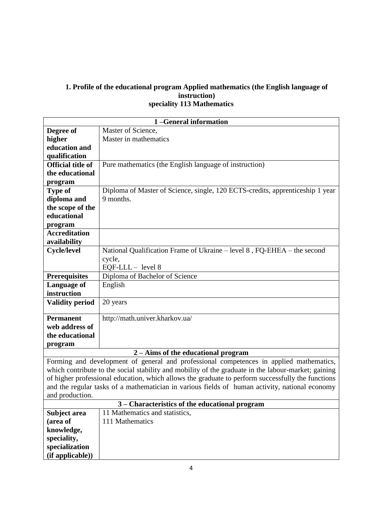#### **1. Profile of the educational program Applied mathematics (the English language of instruction) speciality 113 Mathematics**

| 1-General information                                                                          |                                                                                                     |  |  |  |
|------------------------------------------------------------------------------------------------|-----------------------------------------------------------------------------------------------------|--|--|--|
| Degree of                                                                                      | Master of Science,                                                                                  |  |  |  |
| higher                                                                                         | Master in mathematics                                                                               |  |  |  |
| education and                                                                                  |                                                                                                     |  |  |  |
| qualification                                                                                  |                                                                                                     |  |  |  |
| <b>Official title of</b>                                                                       | Pure mathematics (the English language of instruction)                                              |  |  |  |
| the educational                                                                                |                                                                                                     |  |  |  |
| program                                                                                        |                                                                                                     |  |  |  |
| <b>Type of</b>                                                                                 | Diploma of Master of Science, single, 120 ECTS-credits, apprenticeship 1 year                       |  |  |  |
| diploma and                                                                                    | 9 months.                                                                                           |  |  |  |
| the scope of the                                                                               |                                                                                                     |  |  |  |
| educational                                                                                    |                                                                                                     |  |  |  |
| program                                                                                        |                                                                                                     |  |  |  |
| <b>Accreditation</b>                                                                           |                                                                                                     |  |  |  |
| availability                                                                                   |                                                                                                     |  |  |  |
| <b>Cycle/level</b>                                                                             | National Qualification Frame of Ukraine – level 8, FQ-EHEA – the second                             |  |  |  |
|                                                                                                | cycle,                                                                                              |  |  |  |
|                                                                                                | $EQF-LLL - level 8$                                                                                 |  |  |  |
| <b>Prerequisites</b>                                                                           | Diploma of Bachelor of Science                                                                      |  |  |  |
| Language of<br>English                                                                         |                                                                                                     |  |  |  |
| instruction                                                                                    |                                                                                                     |  |  |  |
| <b>Validity period</b>                                                                         | 20 years                                                                                            |  |  |  |
|                                                                                                |                                                                                                     |  |  |  |
| <b>Permanent</b>                                                                               | http://math.univer.kharkov.ua/                                                                      |  |  |  |
| web address of                                                                                 |                                                                                                     |  |  |  |
| the educational                                                                                |                                                                                                     |  |  |  |
| program                                                                                        |                                                                                                     |  |  |  |
|                                                                                                | $2 - Aims$ of the educational program                                                               |  |  |  |
|                                                                                                | Forming and development of general and professional competences in applied mathematics,             |  |  |  |
|                                                                                                | which contribute to the social stability and mobility of the graduate in the labour-market; gaining |  |  |  |
|                                                                                                | of higher professional education, which allows the graduate to perform successfully the functions   |  |  |  |
| and the regular tasks of a mathematician in various fields of human activity, national economy |                                                                                                     |  |  |  |
| and production.                                                                                |                                                                                                     |  |  |  |
| 3 – Characteristics of the educational program                                                 |                                                                                                     |  |  |  |
| Subject area                                                                                   | 11 Mathematics and statistics,                                                                      |  |  |  |
| (area of                                                                                       | 111 Mathematics                                                                                     |  |  |  |
| knowledge,                                                                                     |                                                                                                     |  |  |  |
| speciality,                                                                                    |                                                                                                     |  |  |  |
| specialization                                                                                 |                                                                                                     |  |  |  |
| (if applicable))                                                                               |                                                                                                     |  |  |  |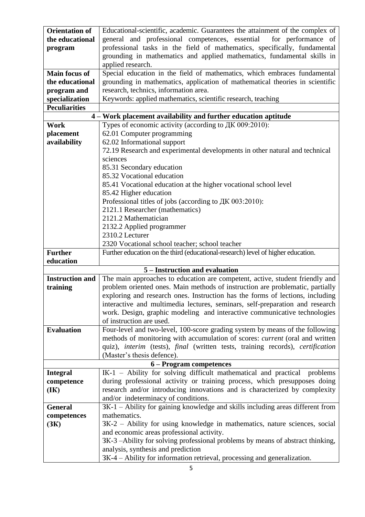| <b>Orientation of</b>  | Educational-scientific, academic. Guarantees the attainment of the complex of                                                                                 |  |  |  |  |
|------------------------|---------------------------------------------------------------------------------------------------------------------------------------------------------------|--|--|--|--|
| the educational        | general and professional competences, essential<br>for performance of                                                                                         |  |  |  |  |
| program                | professional tasks in the field of mathematics, specifically, fundamental                                                                                     |  |  |  |  |
|                        | grounding in mathematics and applied mathematics, fundamental skills in                                                                                       |  |  |  |  |
|                        | applied research.                                                                                                                                             |  |  |  |  |
| <b>Main focus of</b>   | Special education in the field of mathematics, which embraces fundamental                                                                                     |  |  |  |  |
| the educational        |                                                                                                                                                               |  |  |  |  |
| program and            | grounding in mathematics, application of mathematical theories in scientific<br>research, technics, information area.                                         |  |  |  |  |
| specialization         | Keywords: applied mathematics, scientific research, teaching                                                                                                  |  |  |  |  |
| <b>Peculiarities</b>   |                                                                                                                                                               |  |  |  |  |
|                        | 4 – Work placement availability and further education aptitude                                                                                                |  |  |  |  |
| Work                   | Types of economic activity (according to ДК 009:2010):                                                                                                        |  |  |  |  |
| placement              | 62.01 Computer programming                                                                                                                                    |  |  |  |  |
| availability           | 62.02 Informational support                                                                                                                                   |  |  |  |  |
|                        | 72.19 Research and experimental developments in other natural and technical                                                                                   |  |  |  |  |
|                        | sciences                                                                                                                                                      |  |  |  |  |
|                        | 85.31 Secondary education                                                                                                                                     |  |  |  |  |
|                        | 85.32 Vocational education                                                                                                                                    |  |  |  |  |
|                        | 85.41 Vocational education at the higher vocational school level                                                                                              |  |  |  |  |
|                        | 85.42 Higher education                                                                                                                                        |  |  |  |  |
|                        | Professional titles of jobs (according to ДК 003:2010):                                                                                                       |  |  |  |  |
|                        | 2121.1 Researcher (mathematics)                                                                                                                               |  |  |  |  |
|                        | 2121.2 Mathematician                                                                                                                                          |  |  |  |  |
|                        | 2132.2 Applied programmer                                                                                                                                     |  |  |  |  |
|                        | 2310.2 Lecturer                                                                                                                                               |  |  |  |  |
|                        | 2320 Vocational school teacher; school teacher                                                                                                                |  |  |  |  |
|                        |                                                                                                                                                               |  |  |  |  |
|                        |                                                                                                                                                               |  |  |  |  |
| <b>Further</b>         | Further education on the third (educational-research) level of higher education.                                                                              |  |  |  |  |
| education              |                                                                                                                                                               |  |  |  |  |
| <b>Instruction and</b> | 5 – Instruction and evaluation                                                                                                                                |  |  |  |  |
| training               | The main approaches to education are competent, active, student friendly and<br>problem oriented ones. Main methods of instruction are problematic, partially |  |  |  |  |
|                        |                                                                                                                                                               |  |  |  |  |
|                        | exploring and research ones. Instruction has the forms of lections, including<br>interactive and multimedia lectures, seminars, self-preparation and research |  |  |  |  |
|                        | work. Design, graphic modeling and interactive communicative technologies                                                                                     |  |  |  |  |
|                        | of instruction are used.                                                                                                                                      |  |  |  |  |
| <b>Evaluation</b>      | Four-level and two-level, 100-score grading system by means of the following                                                                                  |  |  |  |  |
|                        | methods of monitoring with accumulation of scores: <i>current</i> (oral and written                                                                           |  |  |  |  |
|                        | quiz), interim (tests), final (written tests, training records), certification                                                                                |  |  |  |  |
|                        | (Master's thesis defence).                                                                                                                                    |  |  |  |  |
|                        | 6 – Program competences                                                                                                                                       |  |  |  |  |
| <b>Integral</b>        | IK-1 – Ability for solving difficult mathematical and practical<br>problems                                                                                   |  |  |  |  |
| competence             | during professional activity or training process, which presupposes doing                                                                                     |  |  |  |  |
| (IK)                   | research and/or introducing innovations and is characterized by complexity                                                                                    |  |  |  |  |
|                        | and/or indeterminacy of conditions.                                                                                                                           |  |  |  |  |
| <b>General</b>         | 3K-1 - Ability for gaining knowledge and skills including areas different from                                                                                |  |  |  |  |
| competences            | mathematics.                                                                                                                                                  |  |  |  |  |
| (3K)                   | 3K-2 – Ability for using knowledge in mathematics, nature sciences, social                                                                                    |  |  |  |  |
|                        | and economic areas professional activity.                                                                                                                     |  |  |  |  |
|                        | 3K-3 -Ability for solving professional problems by means of abstract thinking,                                                                                |  |  |  |  |
|                        | analysis, synthesis and prediction<br>3K-4 – Ability for information retrieval, processing and generalization.                                                |  |  |  |  |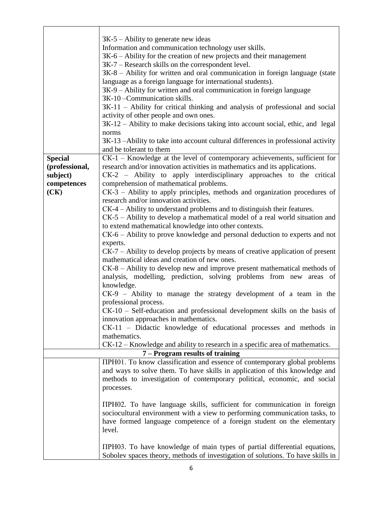|                | $3K-5$ – Ability to generate new ideas                                                                                  |  |  |  |  |
|----------------|-------------------------------------------------------------------------------------------------------------------------|--|--|--|--|
|                | Information and communication technology user skills.                                                                   |  |  |  |  |
|                | 3K-6 – Ability for the creation of new projects and their management                                                    |  |  |  |  |
|                |                                                                                                                         |  |  |  |  |
|                | 3K-7 – Research skills on the correspondent level.                                                                      |  |  |  |  |
|                | $3K-8$ – Ability for written and oral communication in foreign language (state                                          |  |  |  |  |
|                | language as a foreign language for international students).                                                             |  |  |  |  |
|                | 3K-9 – Ability for written and oral communication in foreign language<br>3K-10-Communication skills.                    |  |  |  |  |
|                |                                                                                                                         |  |  |  |  |
|                | 3K-11 - Ability for critical thinking and analysis of professional and social<br>activity of other people and own ones. |  |  |  |  |
|                | 3K-12 – Ability to make decisions taking into account social, ethic, and legal                                          |  |  |  |  |
|                | norms                                                                                                                   |  |  |  |  |
|                | 3K-13 -Ability to take into account cultural differences in professional activity                                       |  |  |  |  |
|                | and be tolerant to them                                                                                                 |  |  |  |  |
| <b>Special</b> | CK-1 – Knowledge at the level of contemporary achievements, sufficient for                                              |  |  |  |  |
| (professional, | research and/or innovation activities in mathematics and its applications.                                              |  |  |  |  |
| subject)       | CK-2 - Ability to apply interdisciplinary approaches to the critical                                                    |  |  |  |  |
| competences    | comprehension of mathematical problems.                                                                                 |  |  |  |  |
| (CK)           | $CK-3$ – Ability to apply principles, methods and organization procedures of                                            |  |  |  |  |
|                | research and/or innovation activities.                                                                                  |  |  |  |  |
|                | CK-4 – Ability to understand problems and to distinguish their features.                                                |  |  |  |  |
|                | CK-5 – Ability to develop a mathematical model of a real world situation and                                            |  |  |  |  |
|                | to extend mathematical knowledge into other contexts.                                                                   |  |  |  |  |
|                | $CK-6$ – Ability to prove knowledge and personal deduction to experts and not                                           |  |  |  |  |
|                | experts.                                                                                                                |  |  |  |  |
|                | $CK-7$ – Ability to develop projects by means of creative application of present                                        |  |  |  |  |
|                | mathematical ideas and creation of new ones.                                                                            |  |  |  |  |
|                | CK-8 - Ability to develop new and improve present mathematical methods of                                               |  |  |  |  |
|                | analysis, modelling, prediction, solving problems from new areas of                                                     |  |  |  |  |
|                | knowledge.                                                                                                              |  |  |  |  |
|                | $CK-9$ – Ability to manage the strategy development of a team in the                                                    |  |  |  |  |
|                | professional process.                                                                                                   |  |  |  |  |
|                | $CK-10$ – Self-education and professional development skills on the basis of                                            |  |  |  |  |
|                | innovation approaches in mathematics.                                                                                   |  |  |  |  |
|                | CK-11 – Didactic knowledge of educational processes and methods in                                                      |  |  |  |  |
|                | mathematics.                                                                                                            |  |  |  |  |
|                | CK-12 – Knowledge and ability to research in a specific area of mathematics.                                            |  |  |  |  |
|                | 7 – Program results of training                                                                                         |  |  |  |  |
|                | TIPH01. To know classification and essence of contemporary global problems                                              |  |  |  |  |
|                | and ways to solve them. To have skills in application of this knowledge and                                             |  |  |  |  |
|                | methods to investigation of contemporary political, economic, and social                                                |  |  |  |  |
|                | processes.                                                                                                              |  |  |  |  |
|                |                                                                                                                         |  |  |  |  |
|                | TIPH02. To have language skills, sufficient for communication in foreign                                                |  |  |  |  |
|                | sociocultural environment with a view to performing communication tasks, to                                             |  |  |  |  |
|                | have formed language competence of a foreign student on the elementary                                                  |  |  |  |  |
|                | level.                                                                                                                  |  |  |  |  |
|                |                                                                                                                         |  |  |  |  |
|                | TIPH03. To have knowledge of main types of partial differential equations,                                              |  |  |  |  |
|                |                                                                                                                         |  |  |  |  |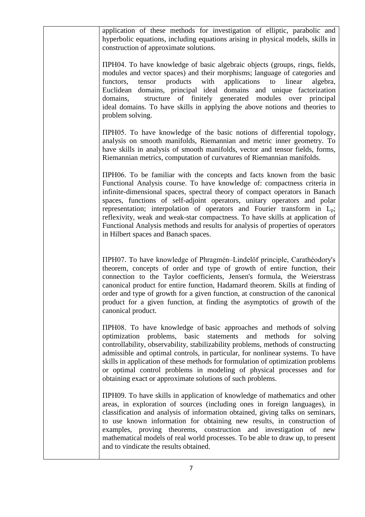| application of these methods for investigation of elliptic, parabolic and<br>hyperbolic equations, including equations arising in physical models, skills in<br>construction of approximate solutions.                                                                                                                                                                                                                                                                                                                                                                                                              |
|---------------------------------------------------------------------------------------------------------------------------------------------------------------------------------------------------------------------------------------------------------------------------------------------------------------------------------------------------------------------------------------------------------------------------------------------------------------------------------------------------------------------------------------------------------------------------------------------------------------------|
| TIPH04. To have knowledge of basic algebraic objects (groups, rings, fields,<br>modules and vector spaces) and their morphisms; language of categories and<br>with<br>applications<br>tensor<br>products<br>to<br>linear<br>algebra,<br>functors,<br>Euclidean domains, principal ideal domains and unique factorization<br>structure of finitely generated modules over principal<br>domains,<br>ideal domains. To have skills in applying the above notions and theories to<br>problem solving.                                                                                                                   |
| TIPH05. To have knowledge of the basic notions of differential topology,<br>analysis on smooth manifolds, Riemannian and metric inner geometry. To<br>have skills in analysis of smooth manifolds, vector and tensor fields, forms,<br>Riemannian metrics, computation of curvatures of Riemannian manifolds.                                                                                                                                                                                                                                                                                                       |
| TIPH06. To be familiar with the concepts and facts known from the basic<br>Functional Analysis course. To have knowledge of: compactness criteria in<br>infinite-dimensional spaces, spectral theory of compact operators in Banach<br>spaces, functions of self-adjoint operators, unitary operators and polar<br>representation; interpolation of operators and Fourier transform in L <sub>p</sub> ;<br>reflexivity, weak and weak-star compactness. To have skills at application of<br>Functional Analysis methods and results for analysis of properties of operators<br>in Hilbert spaces and Banach spaces. |
| TIPH07. To have knowledge of Phragmén–Lindelöf principle, Carathéodory's<br>theorem, concepts of order and type of growth of entire function, their<br>connection to the Taylor coefficients, Jensen's formula, the Weierstrass<br>canonical product for entire function, Hadamard theorem. Skills at finding of<br>order and type of growth for a given function, at construction of the canonical<br>product for a given function, at finding the asymptotics of growth of the<br>canonical product.                                                                                                              |
| TIPH08. To have knowledge of basic approaches and methods of solving<br>optimization problems,<br>basic<br>statements<br>and<br>methods<br>for<br>solving<br>controllability, observability, stabilizability problems, methods of constructing<br>admissible and optimal controls, in particular, for nonlinear systems. To have<br>skills in application of these methods for formulation of optimization problems<br>or optimal control problems in modeling of physical processes and for<br>obtaining exact or approximate solutions of such problems.                                                          |
| TIPH09. To have skills in application of knowledge of mathematics and other<br>areas, in exploration of sources (including ones in foreign languages), in<br>classification and analysis of information obtained, giving talks on seminars,<br>to use known information for obtaining new results, in construction of<br>examples, proving theorems, construction and investigation of new<br>mathematical models of real world processes. To be able to draw up, to present<br>and to vindicate the results obtained.                                                                                              |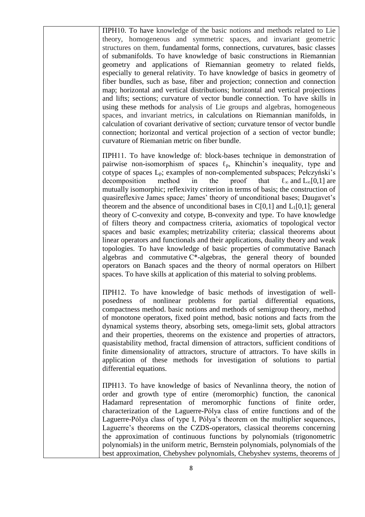ПРН10. To have knowledge of the basic notions and methods related to Lie theory, homogeneous and symmetric spaces, and invariant geometric structures on them, fundamental forms, connections, curvatures, basic classes of submanifolds. To have knowledge of basic constructions in Riemannian geometry and applications of Riemannian geometry to related fields, especially to general relativity. To have knowledge of basics in geometry of fiber bundles, such as base, fiber and projection; connection and connection map; horizontal and vertical distributiоns; horizontal and vertical projections and lifts; sections; curvature of vector bundle connection. To have skills in using these methods for analysis of Lie groups and algebras, homogeneous spaces, and invariant metrics, in calculations on Riemannian manifolds, in calculation of covariant derivative of section; curvature tensor of vector bundle connection; horizontal and vertical projection of a section of vector bundle; curvature of Riemanian metric on fiber bundle.

ПРН11. To have knowledge of: block-bases technique in demonstration of pairwise non-isomorphism of spaces  $\ell_p$ , Khinchin's inequality, type and cotype of spaces Lp; examples of non-complemented subspaces; Pełczyński's decomposition method in the proof that  $\ell_{\infty}$  and L<sub>∞</sub>[0,1] are mutually isomorphic; reflexivity criterion in terms of basis; the construction of quasireflexive James space; James' theory of unconditional bases; Daugavet's theorem and the absence of unconditional bases in  $C[0,1]$  and  $L<sub>1</sub>[0,1]$ ; general theory of C-convexity and cotype, B-convexity and type. To have knowledge of filters theory and compactness criteria, axiomatics of topological vector spaces and basic examples; metrizability criteria; classical theorems about linear operators and functionals and their applications, duality theory and weak topologies. To have knowledge of basic properties of commutative Banach algebras and commutative  $C^*$ -algebras, the general theory of bounded operators on Banach spaces and the theory of normal operators on Hilbert spaces. To have skills at application of this material to solving problems.

ПРН12. To have knowledge of basic methods of investigation of wellposedness of nonlinear problems for partial differential equations, compactness method. basic notions and methods of semigroup theory, method of monotone operators, fixed point method, basic notions and facts from the dynamical systems theory, absorbing sets, omega-limit sets, global attractors and their properties, theorems on the existence and properties of attractors, quasistability method, fractal dimension of attractors, sufficient conditions of finite dimensionality of attractors, structure of attractors. To have skills in application of these methods for investigation of solutions to partial differential equations.

ПРН13. To have knowledge of basics of Nevanlinna theory, the notion of order and growth type of entire (meromorphic) function, the canonical Hadamard representation of meromorphic functions of finite order, characterization of the Laguerre-Pólya class of entire functions and of the Laguerre-Pólya class of type I, Pólya's theorem on the multiplier sequences, Laguerre's theorems on the CZDS-operators, classical theorems concerning the approximation of continuous functions by polynomials (trigonometric polynomials) in the uniform metric, Bernstein polynomials, polynomials of the best approximation, Chebyshev polynomials, Chebyshev systems, theorems of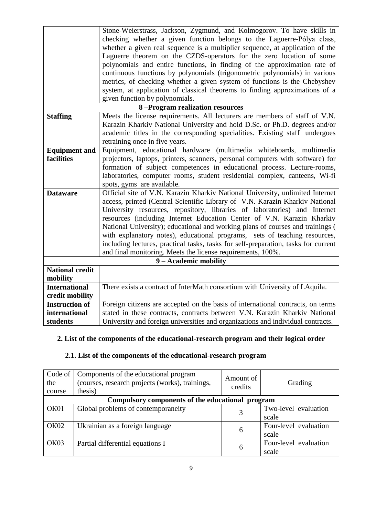|                            | Stone-Weierstrass, Jackson, Zygmund, and Kolmogorov. To have skills in             |  |  |  |  |
|----------------------------|------------------------------------------------------------------------------------|--|--|--|--|
|                            | checking whether a given function belongs to the Laguerre-Pólya class,             |  |  |  |  |
|                            | whether a given real sequence is a multiplier sequence, at application of the      |  |  |  |  |
|                            | Laguerre theorem on the CZDS-operators for the zero location of some               |  |  |  |  |
|                            | polynomials and entire functions, in finding of the approximation rate of          |  |  |  |  |
|                            | continuous functions by polynomials (trigonometric polynomials) in various         |  |  |  |  |
|                            | metrics, of checking whether a given system of functions is the Chebyshev          |  |  |  |  |
|                            | system, at application of classical theorems to finding approximations of a        |  |  |  |  |
|                            | given function by polynomials.                                                     |  |  |  |  |
|                            | 8-Program realization resources                                                    |  |  |  |  |
| <b>Staffing</b>            | Meets the license requirements. All lecturers are members of staff of V.N.         |  |  |  |  |
|                            | Karazin Kharkiv National University and hold D.Sc. or Ph.D. degrees and/or         |  |  |  |  |
|                            | academic titles in the corresponding specialities. Existing staff undergoes        |  |  |  |  |
|                            | retraining once in five years.                                                     |  |  |  |  |
| <b>Equipment and</b>       | Equipment, educational hardware (multimedia whiteboards, multimedia                |  |  |  |  |
| facilities                 | projectors, laptops, printers, scanners, personal computers with software) for     |  |  |  |  |
|                            | formation of subject competences in educational process. Lecture-rooms,            |  |  |  |  |
|                            | laboratories, computer rooms, student residential complex, canteens, Wi-fi         |  |  |  |  |
| spots, gyms are available. |                                                                                    |  |  |  |  |
| <b>Dataware</b>            | Official site of V.N. Karazin Kharkiv National University, unlimited Internet      |  |  |  |  |
|                            | access, printed (Central Scientific Library of V.N. Karazin Kharkiv National       |  |  |  |  |
|                            | University resources, repository, libraries of laboratories) and Internet          |  |  |  |  |
|                            | resources (including Internet Education Center of V.N. Karazin Kharkiv             |  |  |  |  |
|                            | National University); educational and working plans of courses and trainings (     |  |  |  |  |
|                            | with explanatory notes), educational programs, sets of teaching resources,         |  |  |  |  |
|                            | including lectures, practical tasks, tasks for self-preparation, tasks for current |  |  |  |  |
|                            | and final monitoring. Meets the license requirements, 100%.                        |  |  |  |  |
| 9 - Academic mobility      |                                                                                    |  |  |  |  |
| <b>National credit</b>     |                                                                                    |  |  |  |  |
| mobility                   |                                                                                    |  |  |  |  |
| <b>International</b>       | There exists a contract of InterMath consortium with University of LAquila.        |  |  |  |  |
| credit mobility            |                                                                                    |  |  |  |  |
| <b>Instruction of</b>      | Foreign citizens are accepted on the basis of international contracts, on terms    |  |  |  |  |
| international              | stated in these contracts, contracts between V.N. Karazin Kharkiv National         |  |  |  |  |
| students                   | University and foreign universities and organizations and individual contracts.    |  |  |  |  |

### **2. List of the components of the educational-research program and their logical order**

# **2.1. List of the components of the educational-research program**

| Code of $\vert$<br>the<br>course | Components of the educational program<br>(courses, research projects (works), trainings,<br>thesis) | Amount of<br>credits | Grading               |  |
|----------------------------------|-----------------------------------------------------------------------------------------------------|----------------------|-----------------------|--|
|                                  | Compulsory components of the educational program                                                    |                      |                       |  |
| OK01                             | Global problems of contemporaneity                                                                  |                      | Two-level evaluation  |  |
|                                  |                                                                                                     |                      | scale                 |  |
| OK02                             | Ukrainian as a foreign language                                                                     | 6                    | Four-level evaluation |  |
|                                  |                                                                                                     |                      | scale                 |  |
| OK03                             | Partial differential equations I                                                                    | 6                    | Four-level evaluation |  |
|                                  |                                                                                                     |                      | scale                 |  |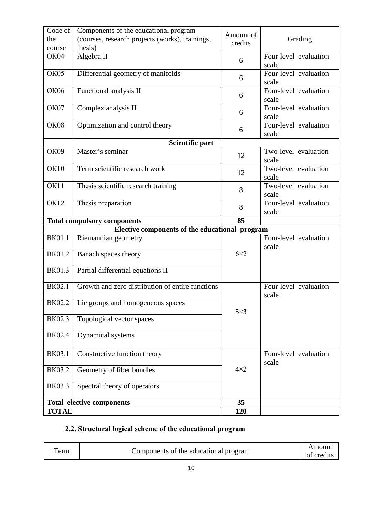| Code of<br>the<br>course | Components of the educational program<br>(courses, research projects (works), trainings,<br>thesis) | Amount of<br>credits | Grading                        |
|--------------------------|-----------------------------------------------------------------------------------------------------|----------------------|--------------------------------|
| OK04                     | Algebra II                                                                                          | 6                    | Four-level evaluation<br>scale |
| OK05                     | Differential geometry of manifolds                                                                  | 6                    | Four-level evaluation<br>scale |
| <b>OK06</b>              | Functional analysis II                                                                              | 6                    | Four-level evaluation<br>scale |
| OK07                     | Complex analysis II                                                                                 | 6                    | Four-level evaluation<br>scale |
| <b>OK08</b>              | Optimization and control theory                                                                     | 6                    | Four-level evaluation<br>scale |
|                          | Scientific part                                                                                     |                      |                                |
| OK09                     | Master's seminar                                                                                    | 12                   | Two-level evaluation<br>scale  |
| <b>OK10</b>              | Term scientific research work                                                                       | 12                   | Two-level evaluation<br>scale  |
| OK11                     | Thesis scientific research training                                                                 | 8                    | Two-level evaluation<br>scale  |
| <b>OK12</b>              | Thesis preparation                                                                                  | 8                    | Four-level evaluation<br>scale |
|                          | <b>Total compulsory components</b>                                                                  | 85                   |                                |
|                          | Elective components of the educational program                                                      |                      |                                |
| <b>BK01.1</b>            | Riemannian geometry                                                                                 |                      | Four-level evaluation<br>scale |
| <b>BK01.2</b>            | Banach spaces theory                                                                                | $6\times2$           |                                |
| <b>BK01.3</b>            | Partial differential equations II                                                                   |                      |                                |
| <b>BK02.1</b>            | Growth and zero distribution of entire functions                                                    |                      | Four-level evaluation<br>scale |
| BK02.2                   | Lie groups and homogeneous spaces                                                                   | $5\times3$           |                                |
| BK02.3                   | Topological vector spaces                                                                           |                      |                                |
| BK02.4                   | Dynamical systems                                                                                   |                      |                                |
| <b>BK03.1</b>            | Constructive function theory                                                                        |                      | Four-level evaluation<br>scale |
| <b>BK03.2</b>            | Geometry of fiber bundles                                                                           | $4\times2$           |                                |
| <b>BK03.3</b>            | Spectral theory of operators                                                                        |                      |                                |
|                          | <b>Total elective components</b>                                                                    | 35                   |                                |
| <b>TOTAL</b>             |                                                                                                     | 120                  |                                |

# 2.2. Structural logical scheme of the educational program

| erm | Components of the educational program | Amount<br>credits<br>ОŤ |
|-----|---------------------------------------|-------------------------|
|-----|---------------------------------------|-------------------------|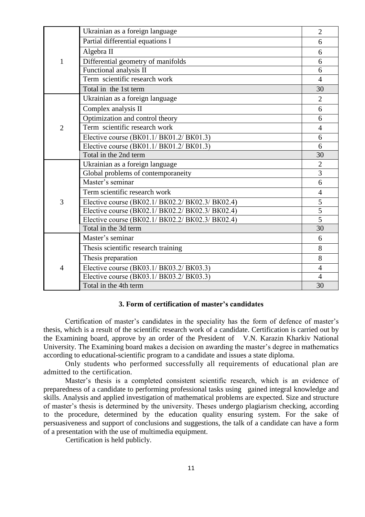|                | Ukrainian as a foreign language                  | $\overline{2}$ |
|----------------|--------------------------------------------------|----------------|
|                | Partial differential equations I                 | 6              |
|                | Algebra II                                       | 6              |
| $\mathbf{1}$   | Differential geometry of manifolds               | 6              |
|                | Functional analysis II                           | 6              |
|                | Term scientific research work                    | $\overline{4}$ |
|                | Total in the 1st term                            | 30             |
|                | Ukrainian as a foreign language                  | $\overline{2}$ |
|                | Complex analysis II                              | 6              |
|                | Optimization and control theory                  | 6              |
| $\overline{2}$ | Term scientific research work                    | $\overline{4}$ |
|                | Elective course (BK01.1/ BK01.2/ BK01.3)         | 6              |
|                | Elective course (BK01.1/ BK01.2/ BK01.3)         | 6              |
|                | Total in the 2nd term                            | 30             |
|                | Ukrainian as a foreign language                  | $\overline{2}$ |
|                | Global problems of contemporaneity               | $\overline{3}$ |
|                | Master's seminar                                 | 6              |
|                | Term scientific research work                    | $\overline{4}$ |
| 3              | Elective course (BK02.1/ BK02.2/ BK02.3/ BK02.4) | $\overline{5}$ |
|                | Elective course (BK02.1/ BK02.2/ BK02.3/ BK02.4) | $\overline{5}$ |
|                | Elective course (BK02.1/ BK02.2/ BK02.3/ BK02.4) | $\overline{5}$ |
|                | Total in the 3d term                             | 30             |
|                | Master's seminar                                 | 6              |
|                | Thesis scientific research training              | 8              |
|                | Thesis preparation                               | 8              |
| $\overline{4}$ | Elective course (BK03.1/ BK03.2/ BK03.3)         | $\overline{4}$ |
|                | Elective course (BK03.1/ BK03.2/ BK03.3)         | $\overline{4}$ |
|                | Total in the 4th term                            | 30             |

#### **3. Form of certification of master's candidates**

Certification of master's candidates in the speciality has the form of defence of master's thesis, which is a result of the scientific research work of a candidate. Certification is carried out by the Examining board, approve by an order of the President of V.N. Karazin Kharkiv National University. The Examining board makes a decision on awarding the master's degree in mathematics according to educational-scientific program to a candidate and issues a state diploma.

Only students who performed successfully all requirements of educational plan are admitted to the certification.

Master's thesis is a completed consistent scientific research, which is an evidence of preparedness of a candidate to performing professional tasks using gained integral knowledge and skills. Analysis and applied investigation of mathematical problems are expected. Size and structure of master's thesis is determined by the university. Theses undergo plagiarism checking, according to the procedure, determined by the education quality ensuring system. For the sake of persuasiveness and support of conclusions and suggestions, the talk of a candidate can have a form of a presentation with the use of multimedia equipment.

Certification is held publicly.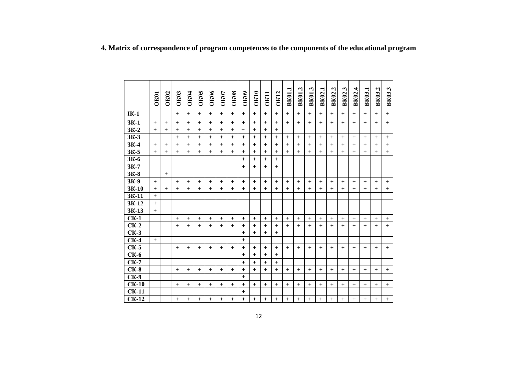|             |             |             |             |              |             |             |             |             |             |             |           |             |             | L,           | یہ           |        |              |           |           |               |               |               |
|-------------|-------------|-------------|-------------|--------------|-------------|-------------|-------------|-------------|-------------|-------------|-----------|-------------|-------------|--------------|--------------|--------|--------------|-----------|-----------|---------------|---------------|---------------|
|             | <b>OK01</b> | <b>OK02</b> | <b>OK03</b> | <b>OK04</b>  | <b>OK05</b> | <b>OK06</b> | <b>OK07</b> | <b>OK08</b> | <b>OK09</b> | <b>OK10</b> | OK11      | <b>OK12</b> | <b>BK01</b> | <b>BK01.</b> | <b>BK01.</b> | BK02.1 | BK02.2       | BK02.3    | BK02.4    | <b>BK03.1</b> | <b>BK03.2</b> | <b>BK03.3</b> |
|             |             |             |             |              |             |             |             |             |             |             |           |             |             |              |              |        |              |           |           |               |               |               |
| $IK-1$      |             |             | $+$         | $\ddot{}$    | $+$         | $+$         | $+$         | $+$         | $+$         | $+$         | $+$       | $+$         | $\ddot{}$   | $+$          | $+$          | $+$    | $+$          | $+$       | $+$       | $+$           | $+$           | $+$           |
| $3K-1$      | $^{+}$      |             | $\ddot{}$   | $\mathrm{+}$ | $\ddot{}$   | $\ddot{}$   | $\pm$       | $\ddot{}$   | $\ddot{}$   | $^{+}$      | $^{+}$    |             | $\ddot{}$   | $\ddot{}$    | $\ddot{}$    | $\pm$  | $\mathrm{+}$ | $^{+}$    | $^{+}$    | $^{+}$        | $\pm$         | $\ddot{}$     |
| $3K-2$      | $+$         | $+$         | $+$         | $^{+}$       | $+$         | $+$         | $+$         | $+$         | $+$         | $+$         | $+$       | $+$         |             |              |              |        |              |           |           |               |               |               |
| ЗК-3        |             |             | $+$         | $+$          | $+$         | $+$         | $+$         | $+$         | $+$         | $+$         | $+$       | $+$         | $+$         | $+$          | $+$          | $+$    | $+$          | $+$       | $+$       | $+$           | $+$           | $+$           |
| $3K-4$      | $+$         | $^{+}$      | $^{+}$      | $^{+}$       | $+$         | $+$         | $+$         | $+$         | $+$         | $+$         | $+$       | $+$         | $+$         | $+$          | $+$          | $+$    | $^{+}$       | $^{+}$    | $+$       | $+$           | $+$           | $^{+}$        |
| $3K-5$      | $+$         | $+$         | $^{+}$      | $^{+}$       | $+$         | $+$         | $+$         | $+$         | $+$         | $+$         | $+$       | $+$         | $+$         | $+$          | $+$          | $^{+}$ | $^{+}$       | $+$       | $+$       | $+$           | $+$           | $+$           |
| 3К-6        |             |             |             |              |             |             |             |             | $+$         | $+$         | $+$       | $+$         |             |              |              |        |              |           |           |               |               |               |
| $3K-7$      |             |             |             |              |             |             |             |             | $+$         | $+$         | $+$       | $+$         |             |              |              |        |              |           |           |               |               |               |
| $3K-8$      |             | $+$         |             |              |             |             |             |             |             |             |           |             |             |              |              |        |              |           |           |               |               |               |
| 3К-9        | $\ddot{}$   |             | $+$         | $^{+}$       | $+$         | $+$         | $\pm$       | $+$         | $+$         | $\ddot{}$   | $\ddot{}$ | $+$         | $+$         | $+$          | $+$          | $+$    | $+$          | $+$       | $+$       | $+$           | $+$           | $\ddot{}$     |
| 3K-10       | $+$         | $+$         | $+$         | $+$          | $+$         | $+$         | $+$         | $+$         | $+$         | $+$         | $+$       | $+$         | $+$         | $+$          | $+$          | $+$    | $+$          | $+$       | $+$       | $+$           | $+$           | $+$           |
| 3K-11       | $+$         |             |             |              |             |             |             |             |             |             |           |             |             |              |              |        |              |           |           |               |               |               |
| 3K-12       | $+$         |             |             |              |             |             |             |             |             |             |           |             |             |              |              |        |              |           |           |               |               |               |
| 3K-13       | $^{+}$      |             |             |              |             |             |             |             |             |             |           |             |             |              |              |        |              |           |           |               |               |               |
| $CK-1$      |             |             | $+$         | $+$          | $+$         | $+$         | $+$         | $+$         | $+$         | $+$         | $+$       | $+$         | $+$         | $+$          | $+$          | $+$    | $+$          | $+$       | $+$       | $+$           | $+$           | $+$           |
| $CK-2$      |             |             | $\ddot{}$   | $+$          | $+$         | $+$         | $+$         | $+$         | $+$         | $+$         | $+$       | $+$         | $+$         | $+$          | $+$          | $+$    | $+$          | $+$       | $+$       | $+$           | $+$           | $+$           |
| $CK-3$      |             |             |             |              |             |             |             |             | $+$         | $+$         | $+$       | $+$         |             |              |              |        |              |           |           |               |               |               |
| $CK-4$      | $^{+}$      |             |             |              |             |             |             |             | $^{+}$      |             |           |             |             |              |              |        |              |           |           |               |               |               |
| $CK-5$      |             |             | $\ddot{}$   | $+$          | $+$         | $+$         | $+$         | $+$         | $+$         | $+$         | $+$       | $+$         | $+$         | $+$          | $+$          | $+$    | $+$          | $+$       | $+$       | $+$           | $+$           | $\ddot{}$     |
| <b>CK-6</b> |             |             |             |              |             |             |             |             | $+$         | $+$         | $+$       | $+$         |             |              |              |        |              |           |           |               |               |               |
| $CK-7$      |             |             |             |              |             |             |             |             | $+$         | $+$         | $+$       | $+$         |             |              |              |        |              |           |           |               |               |               |
| $CK-8$      |             |             | $+$         | $+$          | $+$         | $+$         | $\ddot{}$   | $+$         | $+$         | $+$         | $+$       | $\ddot{}$   | $+$         | $+$          | $+$          | $+$    | $+$          | $\ddot{}$ | $\ddot{}$ | $\ddot{}$     | $\ddot{}$     | $+$           |
| <b>CK-9</b> |             |             |             |              |             |             |             |             | $+$         |             |           |             |             |              |              |        |              |           |           |               |               |               |
| $CK-10$     |             |             | $+$         | $+$          | $+$         | $+$         | $+$         | $+$         | $+$         | $+$         | $+$       | $+$         | $+$         | $+$          | $+$          | $+$    | $+$          | $+$       | $+$       | $+$           | $+$           | $+$           |
| $CK-11$     |             |             |             |              |             |             |             |             | $+$         |             |           |             |             |              |              |        |              |           |           |               |               |               |
| $CK-12$     |             |             | $+$         | $+$          | $+$         | $+$         | $+$         | $+$         | $+$         | $+$         | $+$       | $+$         | $+$         | $+$          | $+$          | $+$    | $+$          | $+$       | $+$       | $+$           | $+$           | $\ddot{}$     |

**4. Matrix of correspondence of program competences to the components of the educational program**